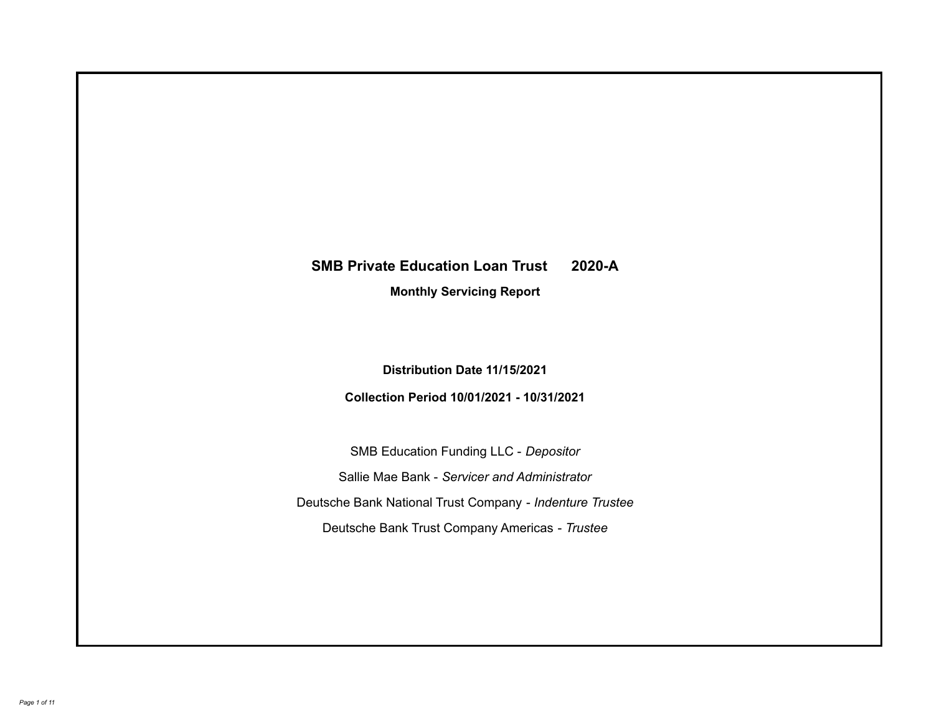# **SMB Private Education Loan Trust 2020-A**

**Monthly Servicing Report**

**Distribution Date 11/15/2021**

**Collection Period 10/01/2021 - 10/31/2021**

SMB Education Funding LLC - *Depositor* Sallie Mae Bank - *Servicer and Administrator* Deutsche Bank National Trust Company - *Indenture Trustee* Deutsche Bank Trust Company Americas - *Trustee*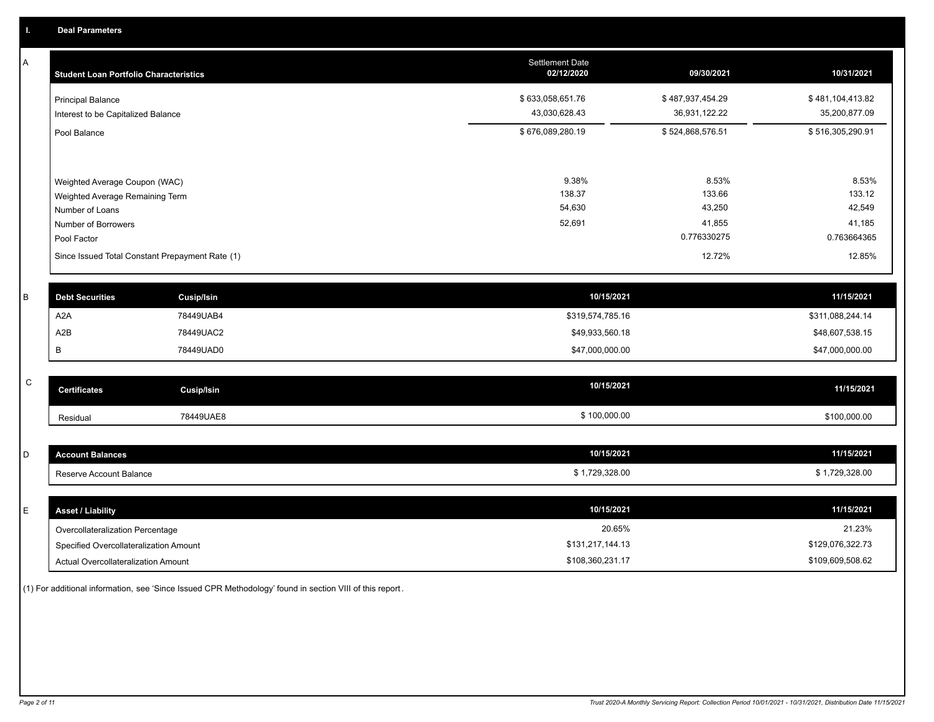A

| А | <b>Student Loan Portfolio Characteristics</b>                  |                                                 | <b>Settlement Date</b><br>02/12/2020 | 09/30/2021                        | 10/31/2021                        |
|---|----------------------------------------------------------------|-------------------------------------------------|--------------------------------------|-----------------------------------|-----------------------------------|
|   | <b>Principal Balance</b><br>Interest to be Capitalized Balance |                                                 | \$633,058,651.76<br>43,030,628.43    | \$487,937,454.29<br>36,931,122.22 | \$481,104,413.82<br>35,200,877.09 |
|   | Pool Balance                                                   |                                                 | \$676,089,280.19                     | \$524,868,576.51                  | \$516,305,290.91                  |
|   | Weighted Average Coupon (WAC)                                  |                                                 | 9.38%                                | 8.53%                             | 8.53%                             |
|   | Weighted Average Remaining Term<br>Number of Loans             |                                                 | 138.37<br>54,630                     | 133.66<br>43,250                  | 133.12<br>42,549                  |
|   | Number of Borrowers<br>Pool Factor                             |                                                 | 52,691                               | 41,855<br>0.776330275             | 41,185<br>0.763664365             |
|   |                                                                | Since Issued Total Constant Prepayment Rate (1) |                                      | 12.72%                            | 12.85%                            |
| B | <b>Debt Securities</b>                                         | <b>Cusip/Isin</b>                               | 10/15/2021                           |                                   | 11/15/2021                        |
|   | A <sub>2</sub> A                                               | 78449UAB4                                       | \$319,574,785.16                     |                                   | \$311,088,244.14                  |
|   | A2B                                                            | 78449UAC2                                       | \$49,933,560.18                      |                                   | \$48,607,538.15                   |

|              | В                   | 78449UAD0         | \$47,000,000.00 | \$47,000,000.00 |
|--------------|---------------------|-------------------|-----------------|-----------------|
|              |                     |                   |                 |                 |
| $\mathsf{C}$ | <b>Certificates</b> | <b>Cusip/Isin</b> | 10/15/2021      | 11/15/2021      |
|              |                     |                   |                 |                 |
|              | Residual            | 78449UAE8         | \$100,000.00    | \$100,000.00    |
|              |                     |                   |                 |                 |

| <b>Account Balances</b> | 10/15/2021   | 11/15/2021   |
|-------------------------|--------------|--------------|
| Reserve Account Balance | 1,729,328.00 | 1,729,328.00 |

| E. | <b>Asset / Liability</b>               | 10/15/2021       | 11/15/2021       |
|----|----------------------------------------|------------------|------------------|
|    | Overcollateralization Percentage       | 20.65%           | 21.23%           |
|    | Specified Overcollateralization Amount | \$131,217,144.13 | \$129,076,322.73 |
|    | Actual Overcollateralization Amount    | \$108,360,231.17 | \$109,609,508.62 |

(1) For additional information, see 'Since Issued CPR Methodology' found in section VIII of this report .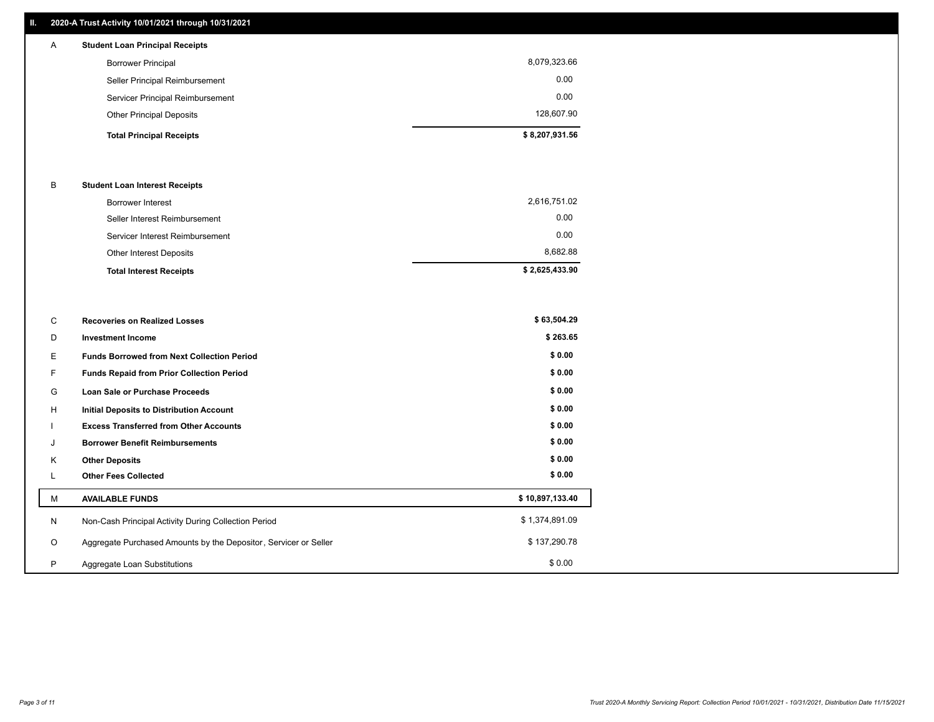### **II. 2020-A Trust Activity 10/01/2021 through 10/31/2021**

# **Total Principal Receipts \$ 8,207,931.56**  Other Principal Deposits 128,607.90 Servicer Principal Reimbursement 0.00 Seller Principal Reimbursement 0.00 Borrower Principal 8,079,323.66 A **Student Loan Principal Receipts**

#### B **Student Loan Interest Receipts**

| <b>Total Interest Receipts</b>  | \$2,625,433.90 |
|---------------------------------|----------------|
| Other Interest Deposits         | 8.682.88       |
| Servicer Interest Reimbursement | 0.00           |
| Seller Interest Reimbursement   | 0.00           |
| Borrower Interest               | 2,616,751.02   |

| C       | <b>Recoveries on Realized Losses</b>                             | \$63,504.29     |
|---------|------------------------------------------------------------------|-----------------|
| D       | <b>Investment Income</b>                                         | \$263.65        |
| Е.      | <b>Funds Borrowed from Next Collection Period</b>                | \$0.00          |
| F.      | <b>Funds Repaid from Prior Collection Period</b>                 | \$0.00          |
| G       | Loan Sale or Purchase Proceeds                                   | \$0.00          |
| H       | Initial Deposits to Distribution Account                         | \$0.00          |
|         | <b>Excess Transferred from Other Accounts</b>                    | \$0.00          |
| J       | <b>Borrower Benefit Reimbursements</b>                           | \$0.00          |
| Κ       | <b>Other Deposits</b>                                            | \$0.00          |
|         | <b>Other Fees Collected</b>                                      | \$0.00          |
| М       | <b>AVAILABLE FUNDS</b>                                           | \$10,897,133.40 |
| N       | Non-Cash Principal Activity During Collection Period             | \$1,374,891.09  |
| $\circ$ | Aggregate Purchased Amounts by the Depositor, Servicer or Seller | \$137,290.78    |
| P       | Aggregate Loan Substitutions                                     | \$0.00          |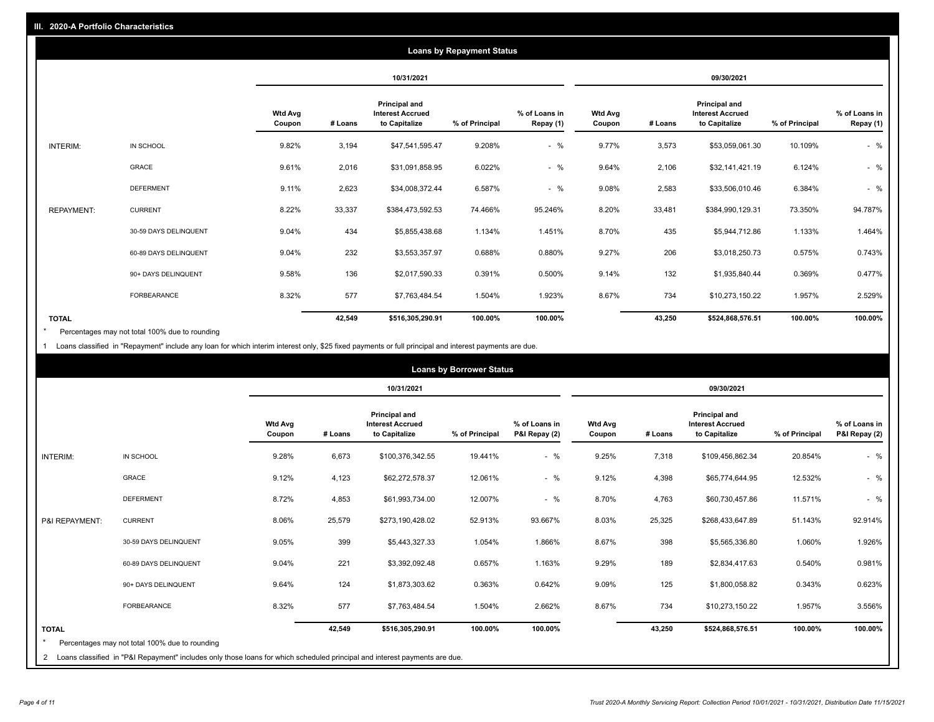|                   |                       |                          |         |                                                           | <b>Loans by Repayment Status</b> |                            |                          |         |                                                           |                |                            |
|-------------------|-----------------------|--------------------------|---------|-----------------------------------------------------------|----------------------------------|----------------------------|--------------------------|---------|-----------------------------------------------------------|----------------|----------------------------|
|                   |                       |                          |         | 10/31/2021                                                |                                  |                            |                          |         | 09/30/2021                                                |                |                            |
|                   |                       | <b>Wtd Avg</b><br>Coupon | # Loans | Principal and<br><b>Interest Accrued</b><br>to Capitalize | % of Principal                   | % of Loans in<br>Repay (1) | <b>Wtd Avg</b><br>Coupon | # Loans | Principal and<br><b>Interest Accrued</b><br>to Capitalize | % of Principal | % of Loans in<br>Repay (1) |
| INTERIM:          | IN SCHOOL             | 9.82%                    | 3,194   | \$47,541,595.47                                           | 9.208%                           | $-$ %                      | 9.77%                    | 3,573   | \$53,059,061.30                                           | 10.109%        | $-$ %                      |
|                   | GRACE                 | 9.61%                    | 2,016   | \$31,091,858.95                                           | 6.022%                           | $-$ %                      | 9.64%                    | 2,106   | \$32,141,421.19                                           | 6.124%         | $-$ %                      |
|                   | <b>DEFERMENT</b>      | 9.11%                    | 2,623   | \$34,008,372.44                                           | 6.587%                           | $-$ %                      | 9.08%                    | 2,583   | \$33,506,010.46                                           | 6.384%         | $-$ %                      |
| <b>REPAYMENT:</b> | <b>CURRENT</b>        | 8.22%                    | 33,337  | \$384,473,592.53                                          | 74.466%                          | 95.246%                    | 8.20%                    | 33,481  | \$384,990,129.31                                          | 73.350%        | 94.787%                    |
|                   | 30-59 DAYS DELINQUENT | 9.04%                    | 434     | \$5,855,438.68                                            | 1.134%                           | 1.451%                     | 8.70%                    | 435     | \$5,944,712.86                                            | 1.133%         | 1.464%                     |
|                   | 60-89 DAYS DELINQUENT | 9.04%                    | 232     | \$3,553,357.97                                            | 0.688%                           | 0.880%                     | 9.27%                    | 206     | \$3,018,250.73                                            | 0.575%         | 0.743%                     |
|                   | 90+ DAYS DELINQUENT   | 9.58%                    | 136     | \$2,017,590.33                                            | 0.391%                           | 0.500%                     | 9.14%                    | 132     | \$1,935,840.44                                            | 0.369%         | 0.477%                     |
|                   | <b>FORBEARANCE</b>    | 8.32%                    | 577     | \$7,763,484.54                                            | 1.504%                           | 1.923%                     | 8.67%                    | 734     | \$10,273,150.22                                           | 1.957%         | 2.529%                     |
| <b>TOTAL</b>      |                       |                          | 42,549  | \$516,305,290.91                                          | 100.00%                          | 100.00%                    |                          | 43,250  | \$524,868,576.51                                          | 100.00%        | 100.00%                    |

Percentages may not total 100% due to rounding \*

1 Loans classified in "Repayment" include any loan for which interim interest only, \$25 fixed payments or full principal and interest payments are due.

|                         |                                                                                                                              |                          |         |                                                           | <b>Loans by Borrower Status</b> |                                |                          |         |                                                           |                |                                |
|-------------------------|------------------------------------------------------------------------------------------------------------------------------|--------------------------|---------|-----------------------------------------------------------|---------------------------------|--------------------------------|--------------------------|---------|-----------------------------------------------------------|----------------|--------------------------------|
|                         |                                                                                                                              |                          |         | 10/31/2021                                                |                                 |                                |                          |         | 09/30/2021                                                |                |                                |
|                         |                                                                                                                              | <b>Wtd Avg</b><br>Coupon | # Loans | Principal and<br><b>Interest Accrued</b><br>to Capitalize | % of Principal                  | % of Loans in<br>P&I Repay (2) | <b>Wtd Avg</b><br>Coupon | # Loans | Principal and<br><b>Interest Accrued</b><br>to Capitalize | % of Principal | % of Loans in<br>P&I Repay (2) |
| <b>INTERIM:</b>         | IN SCHOOL                                                                                                                    | 9.28%                    | 6,673   | \$100,376,342.55                                          | 19.441%                         | $-$ %                          | 9.25%                    | 7,318   | \$109,456,862.34                                          | 20.854%        | $-$ %                          |
|                         | <b>GRACE</b>                                                                                                                 | 9.12%                    | 4,123   | \$62,272,578.37                                           | 12.061%                         | $-$ %                          | 9.12%                    | 4,398   | \$65,774,644.95                                           | 12.532%        | $-$ %                          |
|                         | <b>DEFERMENT</b>                                                                                                             | 8.72%                    | 4,853   | \$61,993,734.00                                           | 12.007%                         | $-$ %                          | 8.70%                    | 4,763   | \$60,730,457.86                                           | 11.571%        | $-$ %                          |
| P&I REPAYMENT:          | <b>CURRENT</b>                                                                                                               | 8.06%                    | 25,579  | \$273,190,428.02                                          | 52.913%                         | 93.667%                        | 8.03%                    | 25,325  | \$268,433,647.89                                          | 51.143%        | 92.914%                        |
|                         | 30-59 DAYS DELINQUENT                                                                                                        | 9.05%                    | 399     | \$5,443,327.33                                            | 1.054%                          | 1.866%                         | 8.67%                    | 398     | \$5,565,336.80                                            | 1.060%         | 1.926%                         |
|                         | 60-89 DAYS DELINQUENT                                                                                                        | 9.04%                    | 221     | \$3,392,092.48                                            | 0.657%                          | 1.163%                         | 9.29%                    | 189     | \$2,834,417.63                                            | 0.540%         | 0.981%                         |
|                         | 90+ DAYS DELINQUENT                                                                                                          | 9.64%                    | 124     | \$1,873,303.62                                            | 0.363%                          | 0.642%                         | 9.09%                    | 125     | \$1,800,058.82                                            | 0.343%         | 0.623%                         |
|                         | <b>FORBEARANCE</b>                                                                                                           | 8.32%                    | 577     | \$7,763,484.54                                            | 1.504%                          | 2.662%                         | 8.67%                    | 734     | \$10,273,150.22                                           | 1.957%         | 3.556%                         |
| <b>TOTAL</b><br>$\star$ | Percentages may not total 100% due to rounding                                                                               |                          | 42,549  | \$516,305,290.91                                          | 100.00%                         | 100.00%                        |                          | 43,250  | \$524,868,576.51                                          | 100.00%        | 100.00%                        |
|                         | 2 Loans classified in "P&I Repayment" includes only those loans for which scheduled principal and interest payments are due. |                          |         |                                                           |                                 |                                |                          |         |                                                           |                |                                |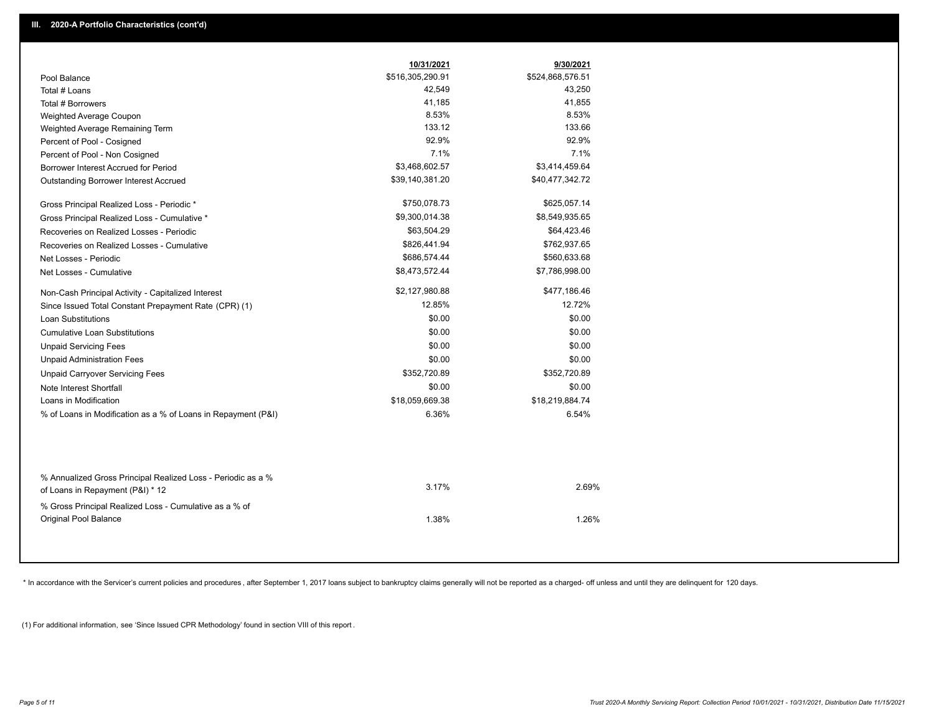|                                                                                        | 10/31/2021       | 9/30/2021        |
|----------------------------------------------------------------------------------------|------------------|------------------|
| Pool Balance                                                                           | \$516,305,290.91 | \$524,868,576.51 |
| Total # Loans                                                                          | 42,549           | 43,250           |
| Total # Borrowers                                                                      | 41,185           | 41,855           |
| Weighted Average Coupon                                                                | 8.53%            | 8.53%            |
| Weighted Average Remaining Term                                                        | 133.12           | 133.66           |
| Percent of Pool - Cosigned                                                             | 92.9%            | 92.9%            |
| Percent of Pool - Non Cosigned                                                         | 7.1%             | 7.1%             |
| Borrower Interest Accrued for Period                                                   | \$3,468,602.57   | \$3,414,459.64   |
| Outstanding Borrower Interest Accrued                                                  | \$39,140,381.20  | \$40,477,342.72  |
| Gross Principal Realized Loss - Periodic *                                             | \$750,078.73     | \$625,057.14     |
| Gross Principal Realized Loss - Cumulative *                                           | \$9,300,014.38   | \$8,549,935.65   |
| Recoveries on Realized Losses - Periodic                                               | \$63,504.29      | \$64,423.46      |
| Recoveries on Realized Losses - Cumulative                                             | \$826,441.94     | \$762,937.65     |
| Net Losses - Periodic                                                                  | \$686,574.44     | \$560,633.68     |
| Net Losses - Cumulative                                                                | \$8,473,572.44   | \$7,786,998.00   |
| Non-Cash Principal Activity - Capitalized Interest                                     | \$2,127,980.88   | \$477,186.46     |
| Since Issued Total Constant Prepayment Rate (CPR) (1)                                  | 12.85%           | 12.72%           |
| <b>Loan Substitutions</b>                                                              | \$0.00           | \$0.00           |
| <b>Cumulative Loan Substitutions</b>                                                   | \$0.00           | \$0.00           |
| <b>Unpaid Servicing Fees</b>                                                           | \$0.00           | \$0.00           |
| <b>Unpaid Administration Fees</b>                                                      | \$0.00           | \$0.00           |
| <b>Unpaid Carryover Servicing Fees</b>                                                 | \$352,720.89     | \$352,720.89     |
| Note Interest Shortfall                                                                | \$0.00           | \$0.00           |
| Loans in Modification                                                                  | \$18,059,669.38  | \$18,219,884.74  |
| % of Loans in Modification as a % of Loans in Repayment (P&I)                          | 6.36%            | 6.54%            |
| % Annualized Gross Principal Realized Loss - Periodic as a %                           |                  |                  |
| of Loans in Repayment (P&I) * 12                                                       | 3.17%            | 2.69%            |
| % Gross Principal Realized Loss - Cumulative as a % of<br><b>Original Pool Balance</b> | 1.38%            | 1.26%            |

\* In accordance with the Servicer's current policies and procedures, after September 1, 2017 loans subject to bankruptcy claims generally will not be reported as a charged- off unless and until they are delinquent for 120

(1) For additional information, see 'Since Issued CPR Methodology' found in section VIII of this report .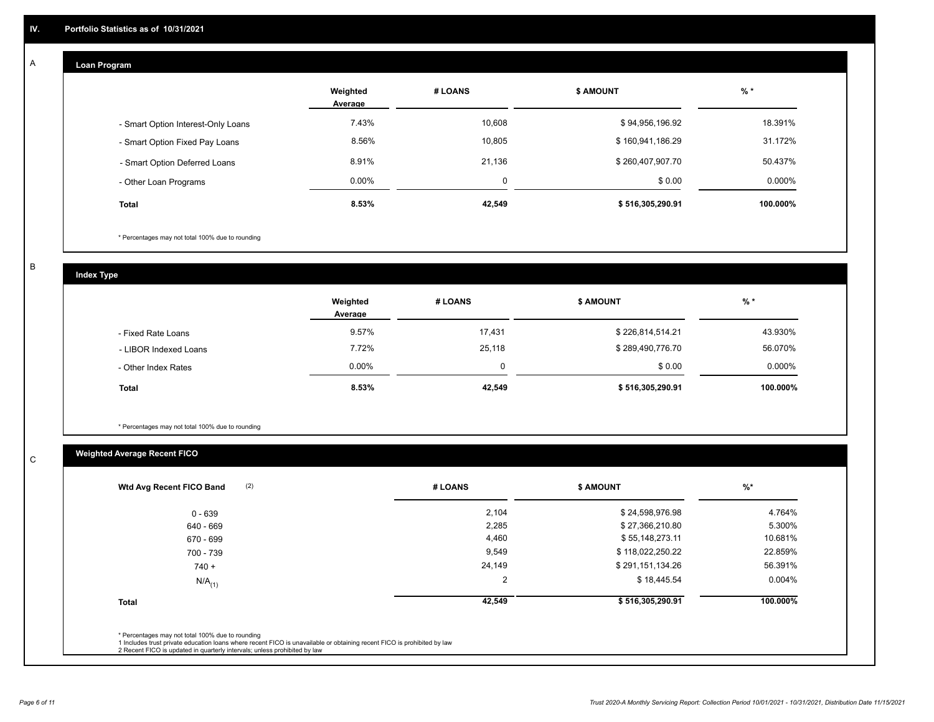# **Loan Program**

A

|                                    | Weighted<br>Average | # LOANS     | <b>\$ AMOUNT</b> | $%$ *    |
|------------------------------------|---------------------|-------------|------------------|----------|
| - Smart Option Interest-Only Loans | 7.43%               | 10,608      | \$94,956,196.92  | 18.391%  |
| - Smart Option Fixed Pay Loans     | 8.56%               | 10,805      | \$160,941,186.29 | 31.172%  |
| - Smart Option Deferred Loans      | 8.91%               | 21.136      | \$260,407,907.70 | 50.437%  |
| - Other Loan Programs              | $0.00\%$            | $\mathbf 0$ | \$0.00           | 0.000%   |
| <b>Total</b>                       | 8.53%               | 42,549      | \$516,305,290.91 | 100.000% |

\* Percentages may not total 100% due to rounding

B

C

**Index Type**

|                       | Weighted<br>Average | # LOANS | <b>\$ AMOUNT</b> | $%$ *     |
|-----------------------|---------------------|---------|------------------|-----------|
| - Fixed Rate Loans    | 9.57%               | 17,431  | \$226,814,514.21 | 43.930%   |
| - LIBOR Indexed Loans | 7.72%               | 25,118  | \$289,490,776.70 | 56.070%   |
| - Other Index Rates   | 0.00%               | 0       | \$0.00           | $0.000\%$ |
| <b>Total</b>          | 8.53%               | 42,549  | \$516,305,290.91 | 100.000%  |

\* Percentages may not total 100% due to rounding

# **Weighted Average Recent FICO**

| $0 - 639$<br>640 - 669<br>670 - 699 | 2,104<br>2,285 | \$24,598,976.98<br>\$27,366,210.80 | 4.764%    |
|-------------------------------------|----------------|------------------------------------|-----------|
|                                     |                |                                    |           |
|                                     |                |                                    | 5.300%    |
|                                     | 4,460          | \$55,148,273.11                    | 10.681%   |
| 700 - 739                           | 9,549          | \$118,022,250.22                   | 22.859%   |
| $740 +$                             | 24,149         | \$291,151,134.26                   | 56.391%   |
| $N/A$ <sub>(1)</sub>                | 2              | \$18,445.54                        | $0.004\%$ |
| <b>Total</b>                        | 42,549         | \$516,305,290.91                   | 100.000%  |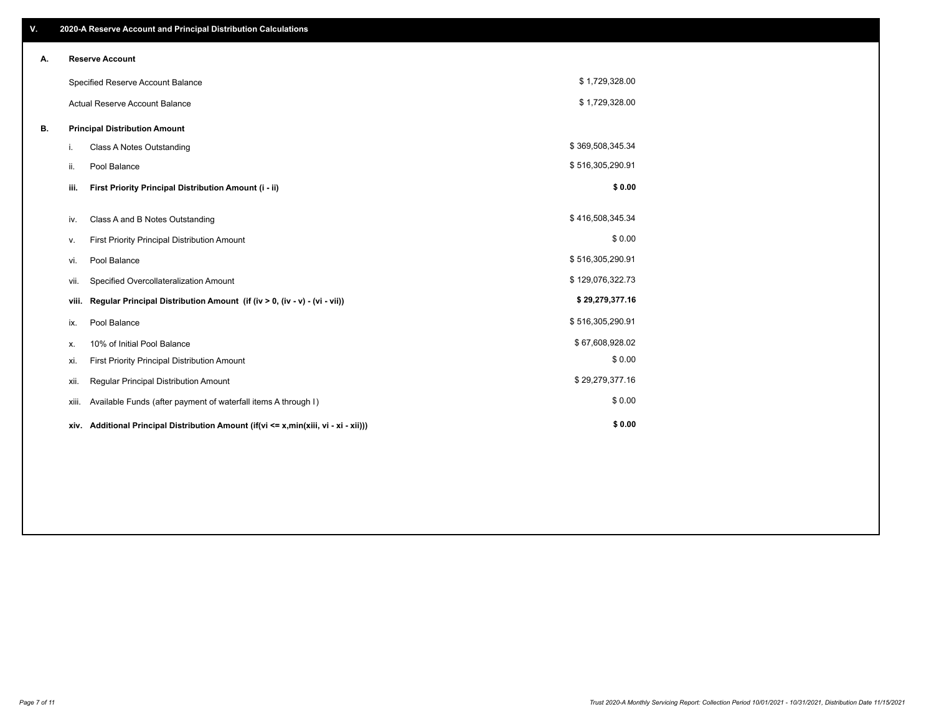| ٧. |       | 2020-A Reserve Account and Principal Distribution Calculations                  |                  |  |
|----|-------|---------------------------------------------------------------------------------|------------------|--|
| А. |       | <b>Reserve Account</b>                                                          |                  |  |
|    |       | Specified Reserve Account Balance                                               | \$1,729,328.00   |  |
|    |       | <b>Actual Reserve Account Balance</b>                                           | \$1,729,328.00   |  |
| В. |       | <b>Principal Distribution Amount</b>                                            |                  |  |
|    | i.    | Class A Notes Outstanding                                                       | \$369,508,345.34 |  |
|    | ii.   | Pool Balance                                                                    | \$516,305,290.91 |  |
|    | iii.  | First Priority Principal Distribution Amount (i - ii)                           | \$0.00           |  |
|    |       |                                                                                 | \$416,508,345.34 |  |
|    | iv.   | Class A and B Notes Outstanding                                                 |                  |  |
|    | ν.    | First Priority Principal Distribution Amount                                    | \$0.00           |  |
|    | vi.   | Pool Balance                                                                    | \$516,305,290.91 |  |
|    | vii.  | Specified Overcollateralization Amount                                          | \$129,076,322.73 |  |
|    | viii. | Regular Principal Distribution Amount (if (iv > 0, (iv - v) - (vi - vii))       | \$29,279,377.16  |  |
|    | ix.   | Pool Balance                                                                    | \$516,305,290.91 |  |
|    | х.    | 10% of Initial Pool Balance                                                     | \$67,608,928.02  |  |
|    | xi.   | First Priority Principal Distribution Amount                                    | \$0.00           |  |
|    | xii.  | Regular Principal Distribution Amount                                           | \$29,279,377.16  |  |
|    | xiii. | Available Funds (after payment of waterfall items A through I)                  | \$0.00           |  |
|    | xiv.  | Additional Principal Distribution Amount (if(vi <= x,min(xiii, vi - xi - xii))) | \$0.00           |  |
|    |       |                                                                                 |                  |  |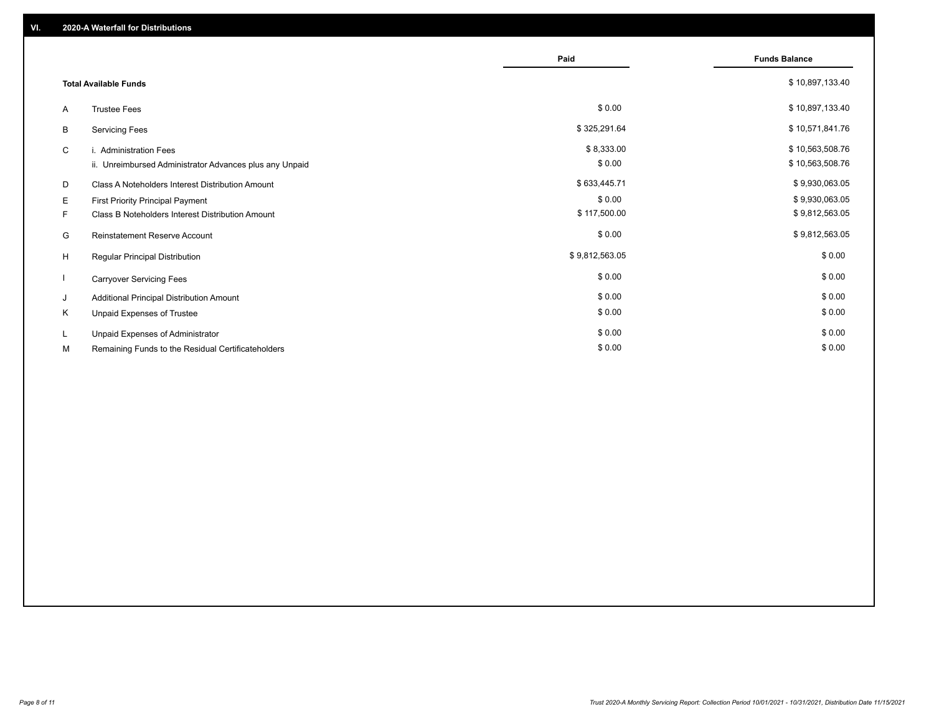|          |                                                                                      | Paid                   | <b>Funds Balance</b>               |
|----------|--------------------------------------------------------------------------------------|------------------------|------------------------------------|
|          | <b>Total Available Funds</b>                                                         |                        | \$10,897,133.40                    |
| A        | <b>Trustee Fees</b>                                                                  | \$0.00                 | \$10,897,133.40                    |
| В        | <b>Servicing Fees</b>                                                                | \$325,291.64           | \$10,571,841.76                    |
| C        | i. Administration Fees<br>ii. Unreimbursed Administrator Advances plus any Unpaid    | \$8,333.00<br>\$0.00   | \$10,563,508.76<br>\$10,563,508.76 |
| D        | Class A Noteholders Interest Distribution Amount                                     | \$633,445.71           | \$9,930,063.05                     |
| E.<br>F. | First Priority Principal Payment<br>Class B Noteholders Interest Distribution Amount | \$0.00<br>\$117,500.00 | \$9,930,063.05<br>\$9,812,563.05   |
| G        | Reinstatement Reserve Account                                                        | \$0.00                 | \$9,812,563.05                     |
| H        | <b>Regular Principal Distribution</b>                                                | \$9,812,563.05         | \$0.00                             |
|          | <b>Carryover Servicing Fees</b>                                                      | \$0.00                 | \$0.00                             |
| J        | Additional Principal Distribution Amount                                             | \$0.00                 | \$0.00                             |
| K        | Unpaid Expenses of Trustee                                                           | \$0.00                 | \$0.00                             |
| L.       | Unpaid Expenses of Administrator                                                     | \$0.00                 | \$0.00                             |
| М        | Remaining Funds to the Residual Certificateholders                                   | \$0.00                 | \$0.00                             |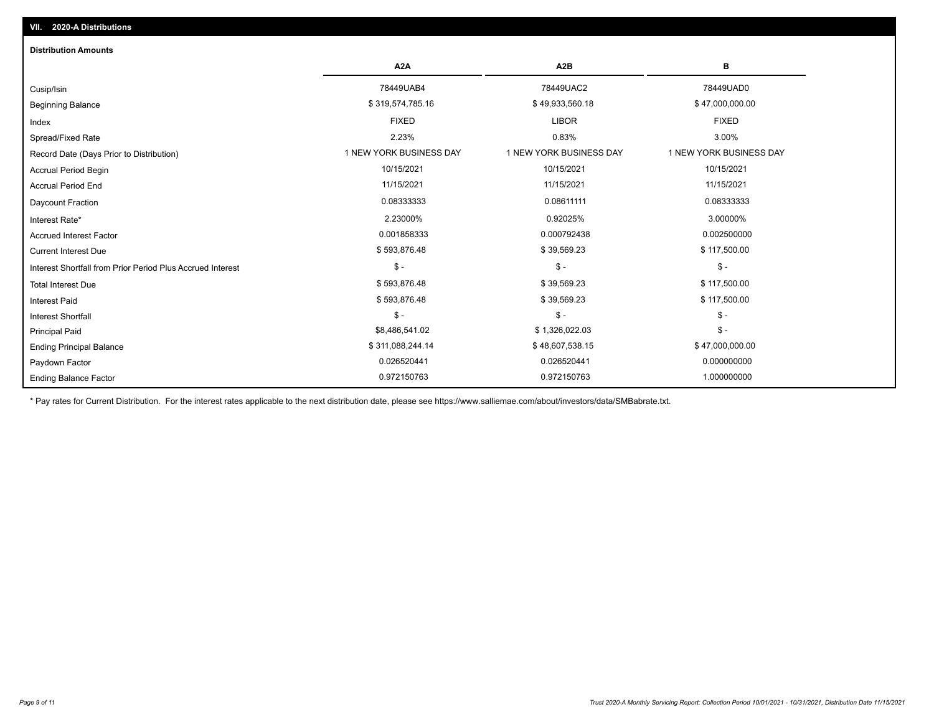| <b>Distribution Amounts</b>                                |                         |                         |                         |
|------------------------------------------------------------|-------------------------|-------------------------|-------------------------|
|                                                            | A <sub>2</sub> A        | A <sub>2</sub> B        | в                       |
| Cusip/Isin                                                 | 78449UAB4               | 78449UAC2               | 78449UAD0               |
| <b>Beginning Balance</b>                                   | \$319,574,785.16        | \$49,933,560.18         | \$47,000,000.00         |
| Index                                                      | <b>FIXED</b>            | <b>LIBOR</b>            | <b>FIXED</b>            |
| Spread/Fixed Rate                                          | 2.23%                   | 0.83%                   | 3.00%                   |
| Record Date (Days Prior to Distribution)                   | 1 NEW YORK BUSINESS DAY | 1 NEW YORK BUSINESS DAY | 1 NEW YORK BUSINESS DAY |
| <b>Accrual Period Begin</b>                                | 10/15/2021              | 10/15/2021              | 10/15/2021              |
| <b>Accrual Period End</b>                                  | 11/15/2021              | 11/15/2021              | 11/15/2021              |
| <b>Daycount Fraction</b>                                   | 0.08333333              | 0.08611111              | 0.08333333              |
| Interest Rate*                                             | 2.23000%                | 0.92025%                | 3.00000%                |
| <b>Accrued Interest Factor</b>                             | 0.001858333             | 0.000792438             | 0.002500000             |
| <b>Current Interest Due</b>                                | \$593,876.48            | \$39,569.23             | \$117,500.00            |
| Interest Shortfall from Prior Period Plus Accrued Interest | $\frac{1}{2}$           | $\mathcal{S}$ -         | $\mathsf{\$}$ -         |
| <b>Total Interest Due</b>                                  | \$593,876.48            | \$39,569.23             | \$117,500.00            |
| <b>Interest Paid</b>                                       | \$593,876.48            | \$39,569.23             | \$117,500.00            |
| <b>Interest Shortfall</b>                                  | $$ -$                   | $$ -$                   | $$ -$                   |
| <b>Principal Paid</b>                                      | \$8,486,541.02          | \$1,326,022.03          | $$ -$                   |
| <b>Ending Principal Balance</b>                            | \$311,088,244.14        | \$48,607,538.15         | \$47,000,000.00         |
| Paydown Factor                                             | 0.026520441             | 0.026520441             | 0.000000000             |
| <b>Ending Balance Factor</b>                               | 0.972150763             | 0.972150763             | 1.000000000             |

\* Pay rates for Current Distribution. For the interest rates applicable to the next distribution date, please see https://www.salliemae.com/about/investors/data/SMBabrate.txt.

**VII. 2020-A Distributions**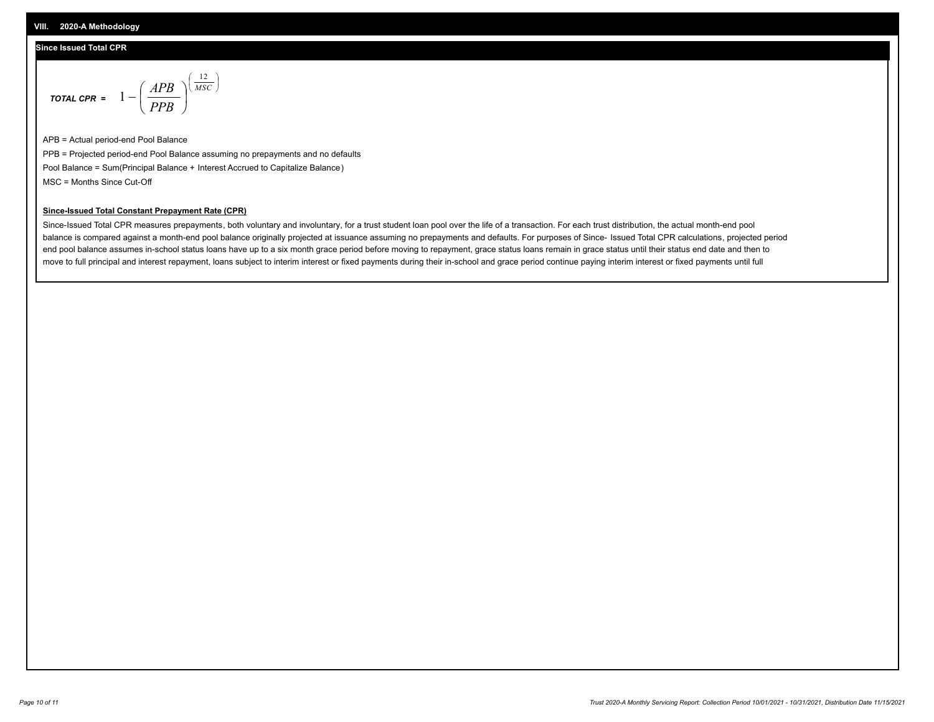#### **Since Issued Total CPR**

$$
\text{total CPR} = 1 - \left(\frac{APB}{PPB}\right)^{\left(\frac{12}{MSC}\right)}
$$

APB = Actual period-end Pool Balance PPB = Projected period-end Pool Balance assuming no prepayments and no defaults Pool Balance = Sum(Principal Balance + Interest Accrued to Capitalize Balance) MSC = Months Since Cut-Off

I J Ι

#### **Since-Issued Total Constant Prepayment Rate (CPR)**

Since-Issued Total CPR measures prepayments, both voluntary and involuntary, for a trust student loan pool over the life of a transaction. For each trust distribution, the actual month-end pool balance is compared against a month-end pool balance originally projected at issuance assuming no prepayments and defaults. For purposes of Since- Issued Total CPR calculations, projected period end pool balance assumes in-school status loans have up to a six month grace period before moving to repayment, grace status loans remain in grace status until their status end date and then to move to full principal and interest repayment, loans subject to interim interest or fixed payments during their in-school and grace period continue paying interim interest or fixed payments until full